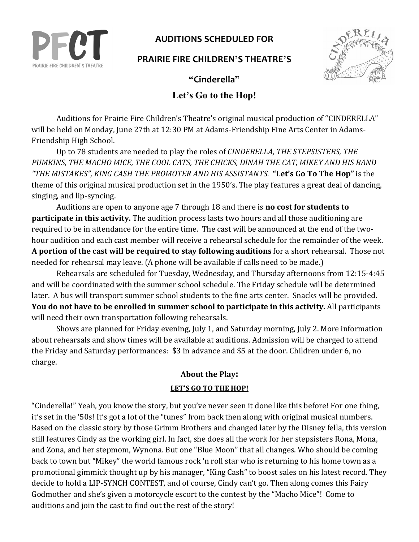

## **AUDITIONS SCHEDULED FOR**

## **PRAIRIE FIRE CHILDREN'S THEATRE'S**



**"Cinderella"**

## **Let's Go to the Hop!**

Auditions for Prairie Fire Children's Theatre's original musical production of "CINDERELLA" will be held on Monday, June 27th at 12:30 PM at Adams-Friendship Fine Arts Center in Adams-Friendship High School.

Up to 78 students are needed to play the roles of *CINDERELLA*, THE STEPSISTERS, THE PUMKINS, THE MACHO MICE, THE COOL CATS, THE CHICKS, DINAH THE CAT, MIKEY AND HIS BAND "THE MISTAKES", KING CASH THE PROMOTER AND HIS ASSISTANTS. "Let's Go To The Hop" is the theme of this original musical production set in the 1950's. The play features a great deal of dancing, singing, and lip-syncing.

Auditions are open to anyone age 7 through 18 and there is **no cost for students to participate in this activity.** The audition process lasts two hours and all those auditioning are required to be in attendance for the entire time. The cast will be announced at the end of the twohour audition and each cast member will receive a rehearsal schedule for the remainder of the week. **A** portion of the cast will be required to stay following auditions for a short rehearsal. Those not needed for rehearsal may leave. (A phone will be available if calls need to be made.)

Rehearsals are scheduled for Tuesday, Wednesday, and Thursday afternoons from 12:15-4:45 and will be coordinated with the summer school schedule. The Friday schedule will be determined later. A bus will transport summer school students to the fine arts center. Snacks will be provided. **You do not have to be enrolled in summer school to participate in this activity.** All participants will need their own transportation following rehearsals.

Shows are planned for Friday evening, July 1, and Saturday morning, July 2. More information about rehearsals and show times will be available at auditions. Admission will be charged to attend the Friday and Saturday performances: \$3 in advance and \$5 at the door. Children under 6, no charge.

## **About the Play:**

### LET'S GO TO THE HOP!

"Cinderella!" Yeah, you know the story, but you've never seen it done like this before! For one thing, it's set in the '50s! It's got a lot of the "tunes" from back then along with original musical numbers. Based on the classic story by those Grimm Brothers and changed later by the Disney fella, this version still features Cindy as the working girl. In fact, she does all the work for her stepsisters Rona, Mona, and Zona, and her stepmom, Wynona. But one "Blue Moon" that all changes. Who should be coming back to town but "Mikey" the world famous rock 'n roll star who is returning to his home town as a promotional gimmick thought up by his manager, "King Cash" to boost sales on his latest record. They decide to hold a LIP-SYNCH CONTEST, and of course, Cindy can't go. Then along comes this Fairy Godmother and she's given a motorcycle escort to the contest by the "Macho Mice"! Come to auditions and join the cast to find out the rest of the story!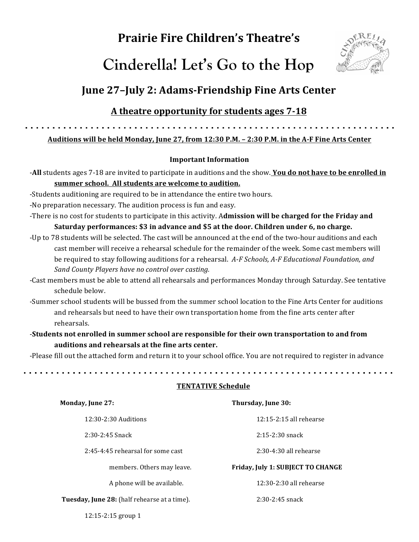# **Prairie Fire Children's Theatre's**





## **June 27-July 2: Adams-Friendship Fine Arts Center**

## A theatre opportunity for students ages 7-18

Auditions will be held Monday, June 27, from 12:30 P.M. - 2:30 P.M. in the A-F Fine Arts Center

### **Important Information**

-All students ages 7-18 are invited to participate in auditions and the show. You do not have to be enrolled in summer school. All students are welcome to audition.

-Students auditioning are required to be in attendance the entire two hours.

-No preparation necessary. The audition process is fun and easy.

- -There is no cost for students to participate in this activity. A**dmission will be charged for the Friday and** Saturday performances: \$3 in advance and \$5 at the door. Children under 6, no charge.
- -Up to 78 students will be selected. The cast will be announced at the end of the two-hour auditions and each cast member will receive a rehearsal schedule for the remainder of the week. Some cast members will be required to stay following auditions for a rehearsal. A-F Schools, A-F Educational Foundation, and *Sand County Players have no control over casting.*
- -Cast members must be able to attend all rehearsals and performances Monday through Saturday. See tentative schedule below.
- -Summer school students will be bussed from the summer school location to the Fine Arts Center for auditions and rehearsals but need to have their own transportation home from the fine arts center after rehearsals.
- -**Students not enrolled in summer school are responsible for their own transportation to and from auditions and rehearsals at the fine arts center.**

-Please fill out the attached form and return it to your school office. You are not required to register in advance

#### **TENTATIVE Schedule**

| Monday, June 27:                             | Thursday, June 30:                |
|----------------------------------------------|-----------------------------------|
| $12:30-2:30$ Auditions                       | $12:15-2:15$ all rehearse         |
| $2:30-2:45$ Snack                            | $2:15-2:30$ snack                 |
| 2:45-4:45 rehearsal for some cast            | $2:30-4:30$ all rehearse          |
| members. Others may leave.                   | Friday, July 1: SUBJECT TO CHANGE |
| A phone will be available.                   | 12:30-2:30 all rehearse           |
| Tuesday, June 28: (half rehearse at a time). | $2:30-2:45$ snack                 |

12:15-2:15 group 1